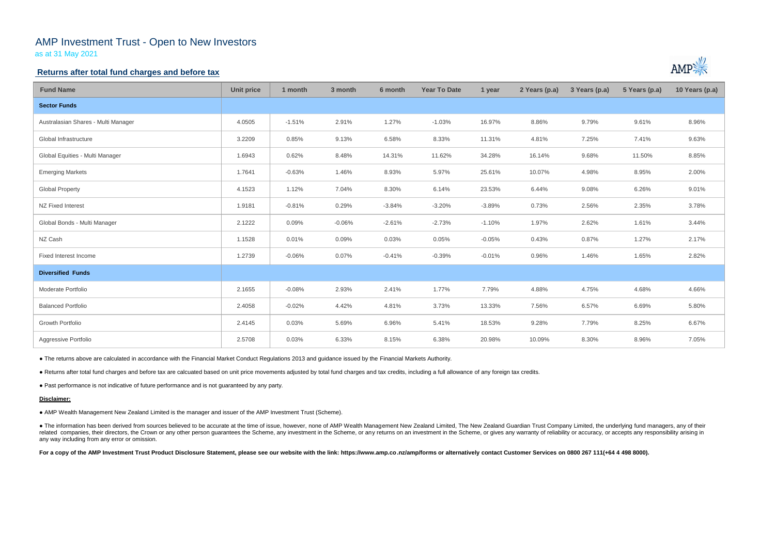# AMP Investment Trust - Open to New Investors

as at 31 May 2021

### **Returns after total fund charges and before tax**

| <b>Fund Name</b>                    | <b>Unit price</b> | 1 month  | 3 month  | 6 month  | <b>Year To Date</b> | 1 year   | 2 Years (p.a) | 3 Years (p.a) | 5 Years (p.a) | 10 Years (p.a) |
|-------------------------------------|-------------------|----------|----------|----------|---------------------|----------|---------------|---------------|---------------|----------------|
| <b>Sector Funds</b>                 |                   |          |          |          |                     |          |               |               |               |                |
| Australasian Shares - Multi Manager | 4.0505            | $-1.51%$ | 2.91%    | 1.27%    | $-1.03%$            | 16.97%   | 8.86%         | 9.79%         | 9.61%         | 8.96%          |
| Global Infrastructure               | 3.2209            | 0.85%    | 9.13%    | 6.58%    | 8.33%               | 11.31%   | 4.81%         | 7.25%         | 7.41%         | 9.63%          |
| Global Equities - Multi Manager     | 1.6943            | 0.62%    | 8.48%    | 14.31%   | 11.62%              | 34.28%   | 16.14%        | 9.68%         | 11.50%        | 8.85%          |
| <b>Emerging Markets</b>             | 1.7641            | $-0.63%$ | 1.46%    | 8.93%    | 5.97%               | 25.61%   | 10.07%        | 4.98%         | 8.95%         | 2.00%          |
| <b>Global Property</b>              | 4.1523            | 1.12%    | 7.04%    | 8.30%    | 6.14%               | 23.53%   | 6.44%         | 9.08%         | 6.26%         | 9.01%          |
| NZ Fixed Interest                   | 1.9181            | $-0.81%$ | 0.29%    | $-3.84%$ | $-3.20%$            | $-3.89%$ | 0.73%         | 2.56%         | 2.35%         | 3.78%          |
| Global Bonds - Multi Manager        | 2.1222            | 0.09%    | $-0.06%$ | $-2.61%$ | $-2.73%$            | $-1.10%$ | 1.97%         | 2.62%         | 1.61%         | 3.44%          |
| NZ Cash                             | 1.1528            | 0.01%    | 0.09%    | 0.03%    | 0.05%               | $-0.05%$ | 0.43%         | 0.87%         | 1.27%         | 2.17%          |
| Fixed Interest Income               | 1.2739            | $-0.06%$ | 0.07%    | $-0.41%$ | $-0.39%$            | $-0.01%$ | 0.96%         | 1.46%         | 1.65%         | 2.82%          |
| <b>Diversified Funds</b>            |                   |          |          |          |                     |          |               |               |               |                |
| Moderate Portfolio                  | 2.1655            | $-0.08%$ | 2.93%    | 2.41%    | 1.77%               | 7.79%    | 4.88%         | 4.75%         | 4.68%         | 4.66%          |
| <b>Balanced Portfolio</b>           | 2.4058            | $-0.02%$ | 4.42%    | 4.81%    | 3.73%               | 13.33%   | 7.56%         | 6.57%         | 6.69%         | 5.80%          |
| Growth Portfolio                    | 2.4145            | 0.03%    | 5.69%    | 6.96%    | 5.41%               | 18.53%   | 9.28%         | 7.79%         | 8.25%         | 6.67%          |
| Aggressive Portfolio                | 2.5708            | 0.03%    | 6.33%    | 8.15%    | 6.38%               | 20.98%   | 10.09%        | 8.30%         | 8.96%         | 7.05%          |

• The information has been derived from sources believed to be accurate at the time of issue, however, none of AMP Wealth Management New Zealand Limited, The New Zealand Guardian Trust Company Limited, the underlying fund related companies, their directors, the Crown or any other person guarantees the Scheme, any investment in the Scheme, or any returns on an investment in the Scheme, or gives any warranty of reliability or accuracy, or acc any way including from any error or omission.

For a copy of the AMP Investment Trust Product Disclosure Statement, please see our website with the link: https://www.amp.co.nz/amp/forms or alternatively contact Customer Services on 0800 267 111(+64 4 498 8000).



● The returns above are calculated in accordance with the Financial Market Conduct Regulations 2013 and guidance issued by the Financial Markets Authority.

● Returns after total fund charges and before tax are calcuated based on unit price movements adjusted by total fund charges and tax credits, including a full allowance of any foreign tax credits.

● Past performance is not indicative of future performance and is not guaranteed by any party.

#### **Disclaimer:**

● AMP Wealth Management New Zealand Limited is the manager and issuer of the AMP Investment Trust (Scheme).